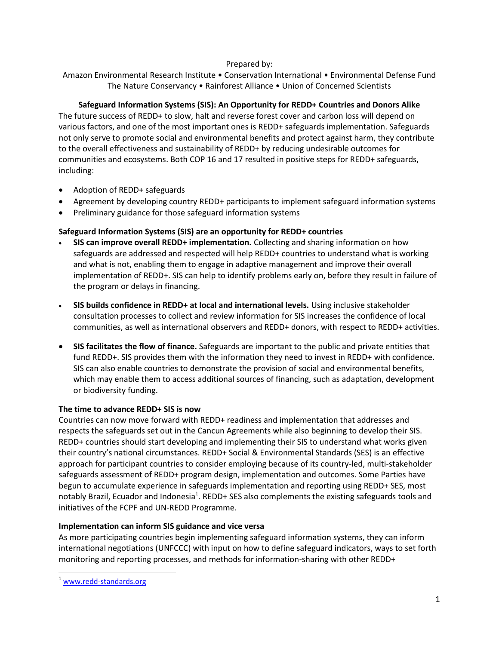## Prepared by:

Amazon Environmental Research Institute • Conservation International • Environmental Defense Fund The Nature Conservancy • Rainforest Alliance • Union of Concerned Scientists

## **Safeguard Information Systems (SIS): An Opportunity for REDD+ Countries and Donors Alike**

The future success of REDD+ to slow, halt and reverse forest cover and carbon loss will depend on various factors, and one of the most important ones is REDD+ safeguards implementation. Safeguards not only serve to promote social and environmental benefits and protect against harm, they contribute to the overall effectiveness and sustainability of REDD+ by reducing undesirable outcomes for communities and ecosystems. Both COP 16 and 17 resulted in positive steps for REDD+ safeguards, including:

- Adoption of REDD+ safeguards
- Agreement by developing country REDD+ participants to implement safeguard information systems
- Preliminary guidance for those safeguard information systems

## **Safeguard Information Systems (SIS) are an opportunity for REDD+ countries**

- **SIS can improve overall REDD+ implementation.** Collecting and sharing information on how safeguards are addressed and respected will help REDD+ countries to understand what is working and what is not, enabling them to engage in adaptive management and improve their overall implementation of REDD+. SIS can help to identify problems early on, before they result in failure of the program or delays in financing.
- **SIS builds confidence in REDD+ at local and international levels.** Using inclusive stakeholder consultation processes to collect and review information for SIS increases the confidence of local communities, as well as international observers and REDD+ donors, with respect to REDD+ activities.
- **SIS facilitates the flow of finance.** Safeguards are important to the public and private entities that fund REDD+. SIS provides them with the information they need to invest in REDD+ with confidence. SIS can also enable countries to demonstrate the provision of social and environmental benefits, which may enable them to access additional sources of financing, such as adaptation, development or biodiversity funding.

#### **The time to advance REDD+ SIS is now**

Countries can now move forward with REDD+ readiness and implementation that addresses and respects the safeguards set out in the Cancun Agreements while also beginning to develop their SIS. REDD+ countries should start developing and implementing their SIS to understand what works given their country's national circumstances. REDD+ Social & Environmental Standards (SES) is an effective approach for participant countries to consider employing because of its country-led, multi-stakeholder safeguards assessment of REDD+ program design, implementation and outcomes. Some Parties have begun to accumulate experience in safeguards implementation and reporting using REDD+ SES, most notably Brazil, Ecuador and Indonesia<sup>1</sup>. REDD+ SES also complements the existing safeguards tools and initiatives of the FCPF and UN-REDD Programme.

#### **Implementation can inform SIS guidance and vice versa**

As more participating countries begin implementing safeguard information systems, they can inform international negotiations (UNFCCC) with input on how to define safeguard indicators, ways to set forth monitoring and reporting processes, and methods for information-sharing with other REDD+

 $\overline{\phantom{a}}$ 

<sup>&</sup>lt;sup>1</sup> [www.redd-standards.org](http://www.redd-standards.org/)